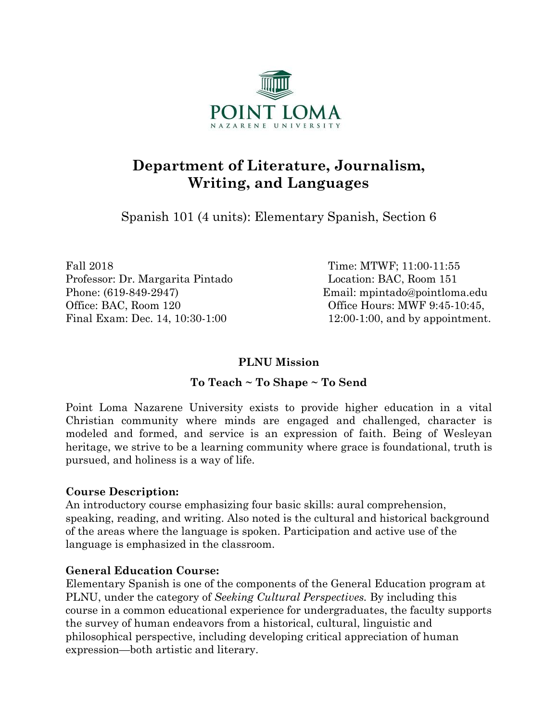

# **Department of Literature, Journalism, Writing, and Languages**

Spanish 101 (4 units): Elementary Spanish, Section 6

Fall 2018 Time: MTWF; 11:00-11:55 Professor: Dr. Margarita Pintado Location: BAC, Room 151 Phone: (619-849-2947) Email: mpintado@pointloma.edu Office: BAC, Room 120 Office Hours: MWF 9:45-10:45, Final Exam: Dec. 14, 10:30-1:00 12:00-1:00, and by appointment.

#### **PLNU Mission**

# **To Teach ~ To Shape ~ To Send**

Point Loma Nazarene University exists to provide higher education in a vital Christian community where minds are engaged and challenged, character is modeled and formed, and service is an expression of faith. Being of Wesleyan heritage, we strive to be a learning community where grace is foundational, truth is pursued, and holiness is a way of life.

#### **Course Description:**

An introductory course emphasizing four basic skills: aural comprehension, speaking, reading, and writing. Also noted is the cultural and historical background of the areas where the language is spoken. Participation and active use of the language is emphasized in the classroom.

#### **General Education Course:**

Elementary Spanish is one of the components of the General Education program at PLNU, under the category of *Seeking Cultural Perspectives.* By including this course in a common educational experience for undergraduates, the faculty supports the survey of human endeavors from a historical, cultural, linguistic and philosophical perspective, including developing critical appreciation of human expression—both artistic and literary.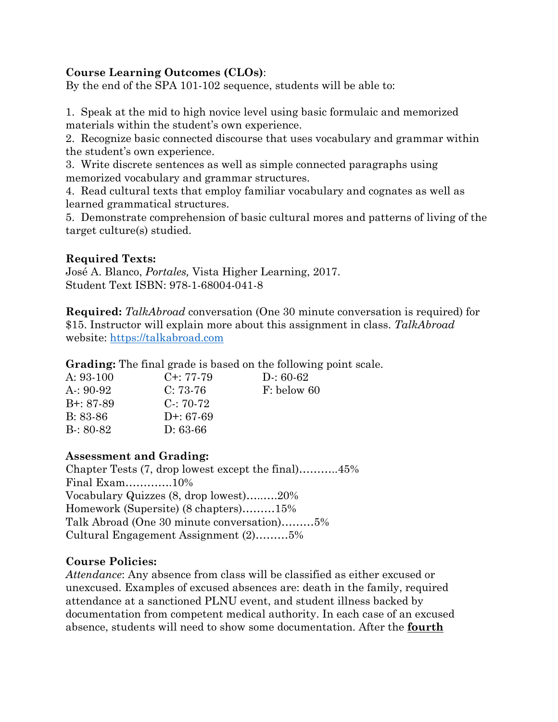## **Course Learning Outcomes (CLOs)**:

By the end of the SPA 101-102 sequence, students will be able to:

1. Speak at the mid to high novice level using basic formulaic and memorized materials within the student's own experience.

2. Recognize basic connected discourse that uses vocabulary and grammar within the student's own experience.

3. Write discrete sentences as well as simple connected paragraphs using memorized vocabulary and grammar structures.

4. Read cultural texts that employ familiar vocabulary and cognates as well as learned grammatical structures.

5. Demonstrate comprehension of basic cultural mores and patterns of living of the target culture(s) studied.

#### **Required Texts:**

José A. Blanco, *Portales,* Vista Higher Learning, 2017. Student Text ISBN: 978-1-68004-041-8

**Required:** *TalkAbroad* conversation (One 30 minute conversation is required) for \$15. Instructor will explain more about this assignment in class. *TalkAbroad* website: [https://talkabroad.com](https://talkabroad.com/)

**Grading:** The final grade is based on the following point scale.

| A: $93-100$     | $C_{\pm}$ : 77-79 | $D: 60-62$  |
|-----------------|-------------------|-------------|
| $A: 90-92$      | $C: 73-76$        | F: below 60 |
| $B^{+}$ : 87-89 | $C: 70-72$        |             |
| $B: 83-86$      | $D^{+}$ : 67-69   |             |
| $B: 80-82$      | $D: 63-66$        |             |
|                 |                   |             |

#### **Assessment and Grading:**

Chapter Tests (7, drop lowest except the final)………..45% Final Exam………….10% Vocabulary Quizzes (8, drop lowest)…..….20% Homework (Supersite) (8 chapters)………15% Talk Abroad (One 30 minute conversation)………5% Cultural Engagement Assignment (2)………5%

#### **Course Policies:**

*Attendance*: Any absence from class will be classified as either excused or unexcused. Examples of excused absences are: death in the family, required attendance at a sanctioned PLNU event, and student illness backed by documentation from competent medical authority. In each case of an excused absence, students will need to show some documentation. After the **fourth**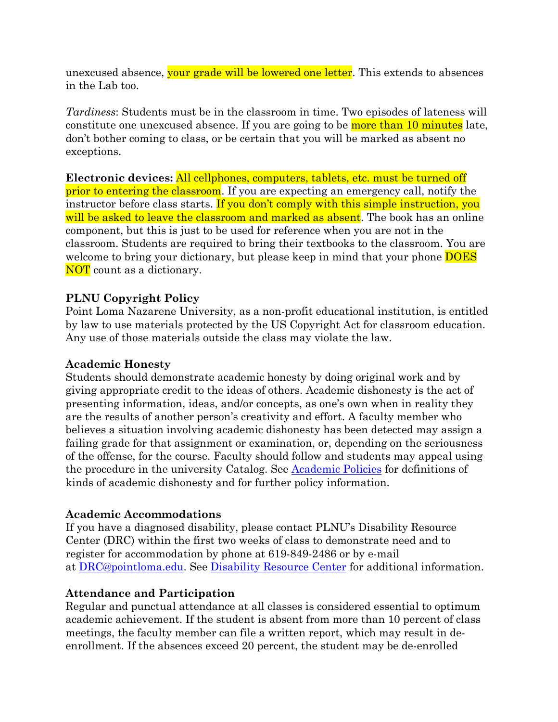unexcused absence, your grade will be lowered one letter. This extends to absences in the Lab too.

*Tardiness*: Students must be in the classroom in time. Two episodes of lateness will constitute one unexcused absence. If you are going to be more than 10 minutes late, don't bother coming to class, or be certain that you will be marked as absent no exceptions.

**Electronic devices:** All cellphones, computers, tablets, etc. must be turned off prior to entering the classroom. If you are expecting an emergency call, notify the instructor before class starts. If you don't comply with this simple instruction, you will be asked to leave the classroom and marked as absent. The book has an online component, but this is just to be used for reference when you are not in the classroom. Students are required to bring their textbooks to the classroom. You are welcome to bring your dictionary, but please keep in mind that your phone **DOES** NOT count as a dictionary.

#### **PLNU Copyright Policy**

Point Loma Nazarene University, as a non-profit educational institution, is entitled by law to use materials protected by the US Copyright Act for classroom education. Any use of those materials outside the class may violate the law.

#### **Academic Honesty**

Students should demonstrate academic honesty by doing original work and by giving appropriate credit to the ideas of others. Academic dishonesty is the act of presenting information, ideas, and/or concepts, as one's own when in reality they are the results of another person's creativity and effort. A faculty member who believes a situation involving academic dishonesty has been detected may assign a failing grade for that assignment or examination, or, depending on the seriousness of the offense, for the course. Faculty should follow and students may appeal using the procedure in the university Catalog. See [Academic Policies](http://catalog.pointloma.edu/content.php?catoid=18&navoid=1278) for definitions of kinds of academic dishonesty and for further policy information.

#### **Academic Accommodations**

If you have a diagnosed disability, please contact PLNU's Disability Resource Center (DRC) within the first two weeks of class to demonstrate need and to register for accommodation by phone at 619-849-2486 or by e-mail at [DRC@pointloma.edu.](mailto:DRC@pointloma.edu) See [Disability Resource Center](http://www.pointloma.edu/experience/offices/administrative-offices/academic-advising-office/disability-resource-center) for additional information.

#### **Attendance and Participation**

Regular and punctual attendance at all classes is considered essential to optimum academic achievement. If the student is absent from more than 10 percent of class meetings, the faculty member can file a written report, which may result in deenrollment. If the absences exceed 20 percent, the student may be de-enrolled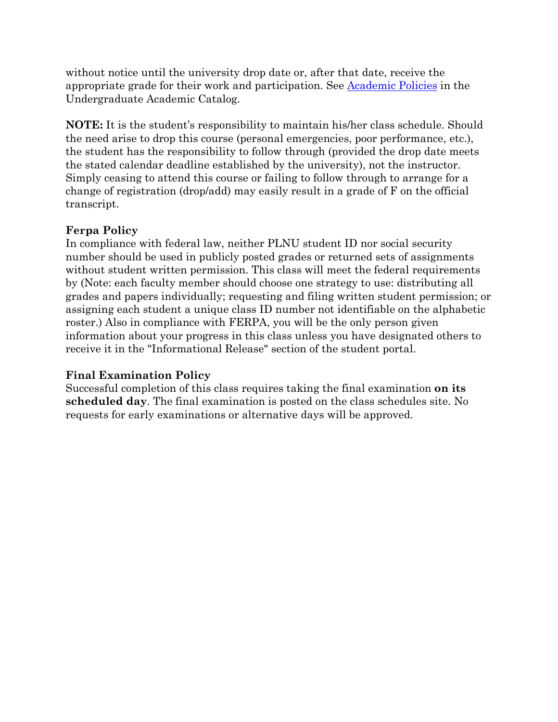without notice until the university drop date or, after that date, receive the appropriate grade for their work and participation. See [Academic Policies](http://catalog.pointloma.edu/content.php?catoid=18&navoid=1278) in the Undergraduate Academic Catalog.

**NOTE:** It is the student's responsibility to maintain his/her class schedule. Should the need arise to drop this course (personal emergencies, poor performance, etc.), the student has the responsibility to follow through (provided the drop date meets the stated calendar deadline established by the university), not the instructor. Simply ceasing to attend this course or failing to follow through to arrange for a change of registration (drop/add) may easily result in a grade of F on the official transcript.

#### **Ferpa Policy**

In compliance with federal law, neither PLNU student ID nor social security number should be used in publicly posted grades or returned sets of assignments without student written permission. This class will meet the federal requirements by (Note: each faculty member should choose one strategy to use: distributing all grades and papers individually; requesting and filing written student permission; or assigning each student a unique class ID number not identifiable on the alphabetic roster.) Also in compliance with FERPA, you will be the only person given information about your progress in this class unless you have designated others to receive it in the "Informational Release" section of the student portal.

#### **Final Examination Policy**

Successful completion of this class requires taking the final examination **on its scheduled day**. The final examination is posted on the class schedules site. No requests for early examinations or alternative days will be approved.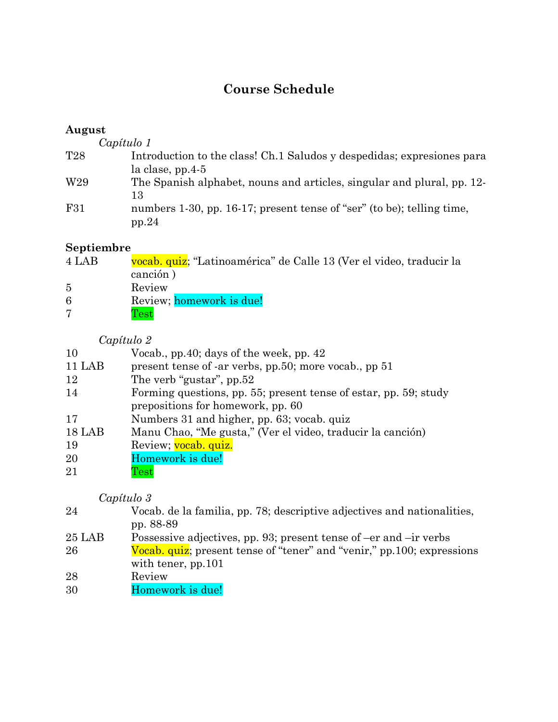# **Course Schedule**

#### **August**

*Capítulo 1* T28 Introduction to the class! Ch.1 Saludos y despedidas; expresiones para la clase, pp.4-5 W<sub>29</sub> The Spanish alphabet, nouns and articles, singular and plural, pp. 12-13 F31 numbers 1-30, pp. 16-17; present tense of "ser" (to be); telling time, pp.24

# **Septiembre**

- 4 LAB vocab. quiz; "Latinoamérica" de Calle 13 (Ver el video, traducir la canción ) 5 Review 6 Review; homework is due! 7 Test
	- *Capítulo 2*

| $\cup$ upuuto 4                                                  |
|------------------------------------------------------------------|
| Vocab., pp. 40; days of the week, pp. $42$                       |
| present tense of -ar verbs, pp.50; more vocab., pp 51            |
| The verb "gustar", pp.52                                         |
| Forming questions, pp. 55; present tense of estar, pp. 59; study |
| prepositions for homework, pp. 60                                |
| Numbers 31 and higher, pp. 63; vocab. quiz                       |
| Manu Chao, "Me gusta," (Ver el video, traducir la canción)       |
| Review; vocab. quiz.                                             |
| Homework is due!                                                 |
| $\operatorname{Test}$                                            |
|                                                                  |

#### *Capítulo 3*

| 24     | Vocab. de la familia, pp. 78; descriptive adjectives and nationalities,<br>pp. 88-89 |
|--------|--------------------------------------------------------------------------------------|
| 25 LAB | Possessive adjectives, pp. 93; present tense of –er and –ir verbs                    |
| 26     | Vocab. quiz; present tense of "tener" and "venir," pp.100; expressions               |
|        | with tener, $pp.101$                                                                 |
| 28     | Review                                                                               |
| 30     | Homework is due!                                                                     |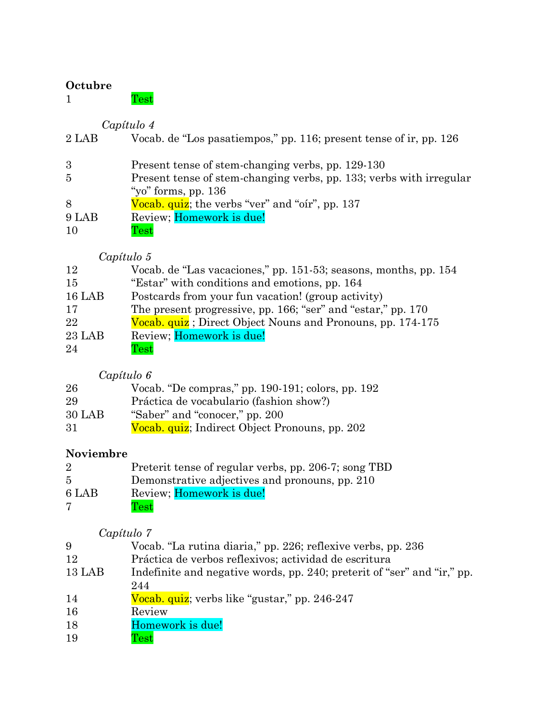### **Octubre**

| est. |
|------|
|      |

# *Capítulo 4*

| $2$ LAB     | Vocab. de "Los pasatiempos," pp. 116; present tense of ir, pp. 126                           |
|-------------|----------------------------------------------------------------------------------------------|
| 3           | Present tense of stem-changing verbs, pp. 129-130                                            |
| $5^{\circ}$ | Present tense of stem-changing verbs, pp. 133; verbs with irregular<br>"yo" forms, pp. $136$ |
| 8           | Vocab. quiz; the verbs "ver" and "oir", pp. 137                                              |
| 9 LAB       | Review; Homework is due!                                                                     |
| 10          | $\operatorname{Test}$                                                                        |

# *Capítulo 5*

| 12       | Vocab. de "Las vacaciones," pp. 151-53; seasons, months, pp. 154 |
|----------|------------------------------------------------------------------|
| 15       | "Estar" with conditions and emotions, pp. 164                    |
| $16$ LAB | Postcards from your fun vacation! (group activity)               |
| 17       | The present progressive, pp. 166; "ser" and "estar," pp. 170     |
| 22       | Vocab. quiz; Direct Object Nouns and Pronouns, pp. 174-175       |
| $23$ LAB | Review; Homework is due!                                         |
| 24       | <b>Test</b>                                                      |

# *Capítulo 6*

| 26     | Vocab. "De compras," pp. 190-191; colors, pp. 192 |
|--------|---------------------------------------------------|
| 29     | Práctica de vocabulario (fashion show?)           |
| 30 LAB | "Saber" and "conocer," pp. 200                    |
| 31     | Vocab. quiz; Indirect Object Pronouns, pp. 202    |

# **Noviembre**

| $\overline{2}$ | Preterit tense of regular verbs, pp. 206-7; song TBD |
|----------------|------------------------------------------------------|
| 5.             | Demonstrative adjectives and pronouns, pp. 210       |
| 6 LAB          | Review; Homework is due!                             |
| 7              | $\operatorname{Test}$                                |

# *Capítulo 7*

- Práctica de verbos reflexivos; actividad de escritura
- 13 LAB Indefinite and negative words, pp. 240; preterit of "ser" and "ir," pp.
- Vocab. quiz; verbs like "gustar," pp. 246-247
- Review
- 18 Homework is due!
- Test